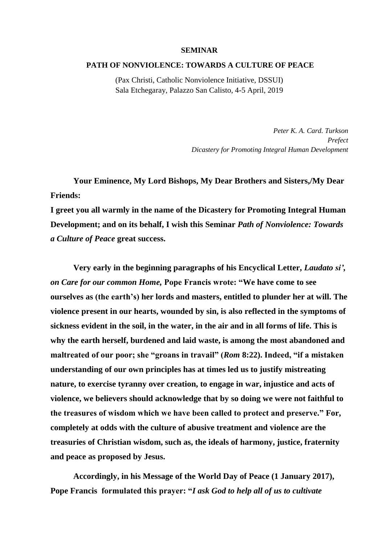## **SEMINAR**

## **PATH OF NONVIOLENCE: TOWARDS A CULTURE OF PEACE**

(Pax Christi, Catholic Nonviolence Initiative, DSSUI) Sala Etchegaray, Palazzo San Calisto, 4-5 April, 2019

> *Peter K. A. Card. Turkson Prefect Dicastery for Promoting Integral Human Development*

**Your Eminence, My Lord Bishops, My Dear Brothers and Sisters,/My Dear Friends:** 

**I greet you all warmly in the name of the Dicastery for Promoting Integral Human Development; and on its behalf, I wish this Seminar** *Path of Nonviolence: Towards a Culture of Peace* **great success.** 

**Very early in the beginning paragraphs of his Encyclical Letter,** *Laudato si', on Care for our common Home,* **Pope Francis wrote: "We have come to see ourselves as (the earth's) her lords and masters, entitled to plunder her at will. The violence present in our hearts, wounded by sin, is also reflected in the symptoms of sickness evident in the soil, in the water, in the air and in all forms of life. This is why the earth herself, burdened and laid waste, is among the most abandoned and maltreated of our poor; she "groans in travail" (***Rom* **8:22). Indeed, "if a mistaken understanding of our own principles has at times led us to justify mistreating nature, to exercise tyranny over creation, to engage in war, injustice and acts of violence, we believers should acknowledge that by so doing we were not faithful to the treasures of wisdom which we have been called to protect and preserve." For, completely at odds with the culture of abusive treatment and violence are the treasuries of Christian wisdom, such as, the ideals of harmony, justice, fraternity and peace as proposed by Jesus.**

**Accordingly, in his Message of the World Day of Peace (1 January 2017), Pope Francis formulated this prayer: "***I ask God to help all of us to cultivate*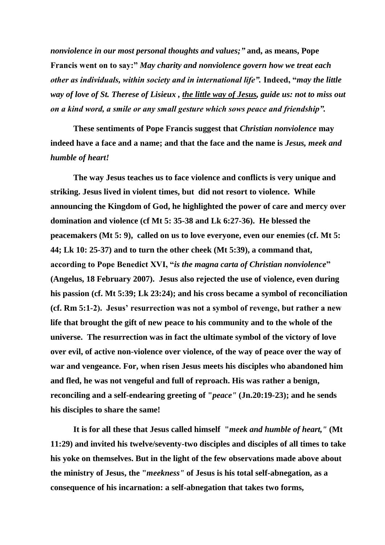*nonviolence in our most personal thoughts and values;"* **and, as means, Pope Francis went on to say:"** *May charity and nonviolence govern how we treat each other as individuals, within society and in international life".* **Indeed, "***may the little way of love of St. Therese of Lisieux , the little way of Jesus, guide us: not to miss out on a kind word, a smile or any small gesture which sows peace and friendship".* 

**These sentiments of Pope Francis suggest that** *Christian nonviolence* **may indeed have a face and a name; and that the face and the name is** *Jesus, meek and humble of heart!* 

**The way Jesus teaches us to face violence and conflicts is very unique and striking. Jesus lived in violent times, but did not resort to violence. While announcing the Kingdom of God, he highlighted the power of care and mercy over domination and violence (cf Mt 5: 35-38 and Lk 6:27-36). He blessed the peacemakers (Mt 5: 9), called on us to love everyone, even our enemies (cf. Mt 5: 44; Lk 10: 25-37) and to turn the other cheek (Mt 5:39), a command that, according to Pope Benedict XVI, "***is the magna carta of Christian nonviolence***" (Angelus, 18 February 2007). Jesus also rejected the use of violence, even during his passion (cf. Mt 5:39; Lk 23:24); and his cross became a symbol of reconciliation (cf. Rm 5:1-2). Jesus' resurrection was not a symbol of revenge, but rather a new life that brought the gift of new peace to his community and to the whole of the universe. The resurrection was in fact the ultimate symbol of the victory of love over evil, of active non-violence over violence, of the way of peace over the way of war and vengeance. For, when risen Jesus meets his disciples who abandoned him and fled, he was not vengeful and full of reproach. His was rather a benign, reconciling and a self-endearing greeting of "***peace"* **(Jn.20:19-23); and he sends his disciples to share the same!**

**It is for all these that Jesus called himself "***meek and humble of heart,"* **(Mt 11:29) and invited his twelve/seventy-two disciples and disciples of all times to take his yoke on themselves. But in the light of the few observations made above about the ministry of Jesus, the "***meekness"* **of Jesus is his total self-abnegation, as a consequence of his incarnation: a self-abnegation that takes two forms,**